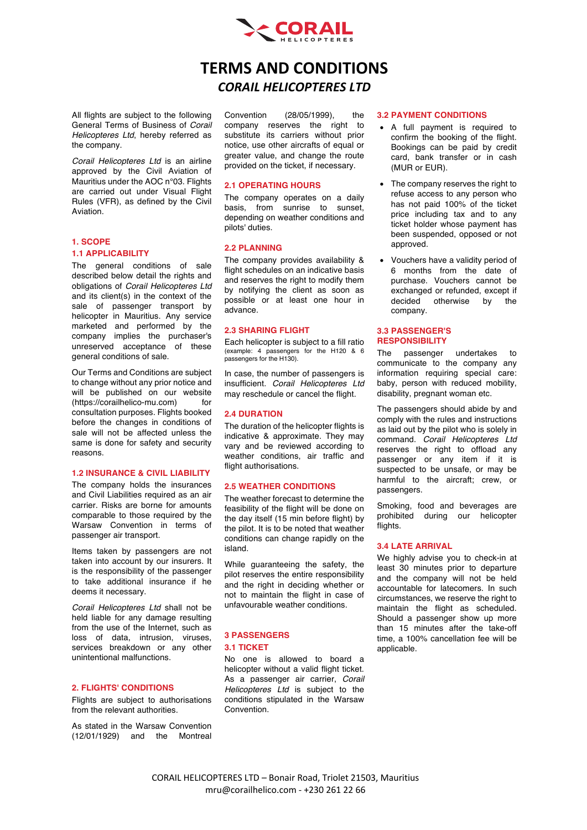

# **TERMS AND CONDITIONS** *CORAIL HELICOPTERES LTD*

All flights are subject to the following General Terms of Business of *Corail Helicopteres Ltd*, hereby referred as the company.

*Corail Helicopteres Ltd* is an airline approved by the Civil Aviation of Mauritius under the AOC n°03. Flights are carried out under Visual Flight Rules (VFR), as defined by the Civil Aviation.

## **1. SCOPE**

#### **1.1 APPLICABILITY**

The general conditions of sale described below detail the rights and obligations of *Corail Helicopteres Ltd* and its client(s) in the context of the sale of passenger transport by helicopter in Mauritius. Any service marketed and performed by the company implies the purchaser's unreserved acceptance of these general conditions of sale.

Our Terms and Conditions are subject to change without any prior notice and will be published on our website (https://corailhelico-mu.com) for consultation purposes. Flights booked before the changes in conditions of sale will not be affected unless the same is done for safety and security reasons.

#### **1.2 INSURANCE & CIVIL LIABILITY**

The company holds the insurances and Civil Liabilities required as an air carrier. Risks are borne for amounts comparable to those required by the Warsaw Convention in terms of passenger air transport.

Items taken by passengers are not taken into account by our insurers. It is the responsibility of the passenger to take additional insurance if he deems it necessary.

*Corail Helicopteres Ltd* shall not be held liable for any damage resulting from the use of the Internet, such as loss of data, intrusion, viruses, services breakdown or any other unintentional malfunctions.

## **2. FLIGHTS' CONDITIONS**

Flights are subject to authorisations from the relevant authorities.

As stated in the Warsaw Convention (12/01/1929) and the Montreal

Convention (28/05/1999), the company reserves the right to substitute its carriers without prior notice, use other aircrafts of equal or greater value, and change the route provided on the ticket, if necessary.

#### **2.1 OPERATING HOURS**

The company operates on a daily basis, from sunrise to sunset, depending on weather conditions and pilots' duties.

#### **2.2 PLANNING**

The company provides availability & flight schedules on an indicative basis and reserves the right to modify them by notifying the client as soon as possible or at least one hour in advance.

#### **2.3 SHARING FLIGHT**

Each helicopter is subject to a fill ratio (example: 4 passengers for the H120 & 6 passengers for the H130).

In case, the number of passengers is insufficient. *Corail Helicopteres Ltd* may reschedule or cancel the flight.

#### **2.4 DURATION**

The duration of the helicopter flights is indicative & approximate. They may vary and be reviewed according to weather conditions, air traffic and flight authorisations.

#### **2.5 WEATHER CONDITIONS**

The weather forecast to determine the feasibility of the flight will be done on the day itself (15 min before flight) by the pilot. It is to be noted that weather conditions can change rapidly on the island.

While guaranteeing the safety, the pilot reserves the entire responsibility and the right in deciding whether or not to maintain the flight in case of unfavourable weather conditions.

## **3 PASSENGERS**

#### **3.1 TICKET**

No one is allowed to board a helicopter without a valid flight ticket. As a passenger air carrier, *Corail Helicopteres Ltd* is subject to the conditions stipulated in the Warsaw Convention.

#### **3.2 PAYMENT CONDITIONS**

- A full payment is required to confirm the booking of the flight. Bookings can be paid by credit card, bank transfer or in cash (MUR or EUR).
- The company reserves the right to refuse access to any person who has not paid 100% of the ticket price including tax and to any ticket holder whose payment has been suspended, opposed or not approved.
- Vouchers have a validity period of 6 months from the date of purchase. Vouchers cannot be exchanged or refunded, except if decided otherwise by the company.

#### **3.3 PASSENGER'S RESPONSIBILITY**

The passenger undertakes to communicate to the company any information requiring special care: baby, person with reduced mobility, disability, pregnant woman etc.

The passengers should abide by and comply with the rules and instructions as laid out by the pilot who is solely in command. *Corail Helicopteres Ltd* reserves the right to offload any passenger or any item if it is suspected to be unsafe, or may be harmful to the aircraft; crew, or passengers.

Smoking, food and beverages are prohibited during our helicopter flights

#### **3.4 LATE ARRIVAL**

We highly advise you to check-in at least 30 minutes prior to departure and the company will not be held accountable for latecomers. In such circumstances, we reserve the right to maintain the flight as scheduled. Should a passenger show up more than 15 minutes after the take-off time, a 100% cancellation fee will be applicable.